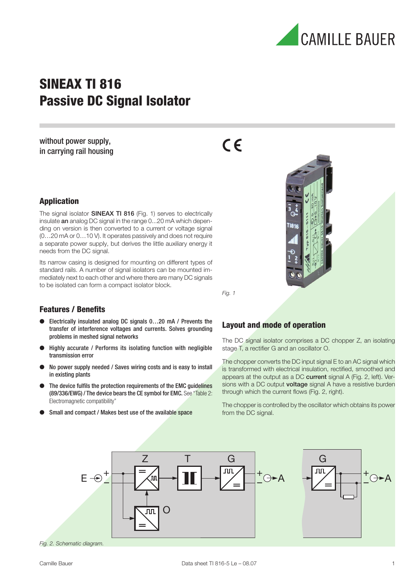

## SINEAX TI 816 Passive DC Signal Isolator

without power supply, in carrying rail housing  $C \in$ 



The signal isolator **SINEAX TI 816** (Fig. 1) serves to electrically insulate an analog DC signal in the range 0...20 mA which depending on version is then converted to a current or voltage signal (0…20 mA or 0…10 V). It operates passively and does not require a separate power supply, but derives the little auxiliary energy it needs from the DC signal.

Its narrow casing is designed for mounting on different types of standard rails. A number of signal isolators can be mounted immediately next to each other and where there are many DC signals to be isolated can form a compact isolator block.

Fig. 1

#### Features / Benefits

- Electrically insulated analog DC signals 0...20 mA / Prevents the transfer of interference voltages and currents. Solves grounding problems in meshed signal networks
- Highly accurate / Performs its isolating function with negligible transmission error
- No power supply needed / Saves wiring costs and is easy to install in existing plants
- The device fulfils the protection requirements of the EMC quidelines (89/336/EWG) / The device bears the CE symbol for EMC. See "Table 2: Electromagnetic compatibility"
- Small and compact / Makes best use of the available space

#### Layout and mode of operation

The DC signal isolator comprises a DC chopper Z, an isolating stage T, a rectifier G and an oscillator O.

The chopper converts the DC input signal E to an AC signal which is transformed with electrical insulation, rectified, smoothed and appears at the output as a DC current signal A (Fig. 2, left). Versions with a DC output voltage signal A have a resistive burden through which the current flows (Fig. 2, right).

The chopper is controlled by the oscillator which obtains its power from the DC signal.



Fig. 2. Schematic diagram.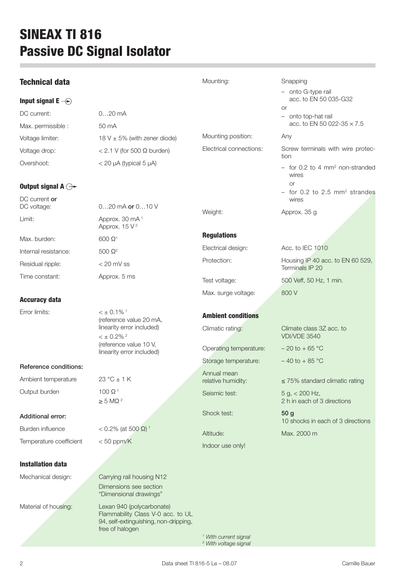# SINEAX TI 816 Passive DC Signal Isolator

i.

| <b>Technical data</b>                |                                                                                                                                                                            | Mounting:                                                            | Snapping                                               |
|--------------------------------------|----------------------------------------------------------------------------------------------------------------------------------------------------------------------------|----------------------------------------------------------------------|--------------------------------------------------------|
|                                      |                                                                                                                                                                            |                                                                      | - onto G-type rail                                     |
| Input signal E $\bigcirc$            |                                                                                                                                                                            |                                                                      | acc. to EN 50 035-G32<br><b>or</b>                     |
| DC current:                          | $020$ mA                                                                                                                                                                   |                                                                      | - onto top-hat rail                                    |
| Max. permissible :                   | 50 mA                                                                                                                                                                      |                                                                      | acc. to EN 50 022-35 $\times$ 7.5                      |
| Voltage limiter:                     | 18 V $\pm$ 5% (with zener diode)                                                                                                                                           | Mounting position:                                                   | Any                                                    |
| Voltage drop:                        | $< 2.1$ V (for 500 $\Omega$ burden)                                                                                                                                        | Electrical connections:                                              | Screw terminals with wire protec-<br>tion              |
| Overshoot:                           | $<$ 20 µA (typical 5 µA)                                                                                                                                                   |                                                                      | - for 0.2 to 4 mm <sup>2</sup> non-stranded<br>wires   |
| Output signal A $\ominus\rightarrow$ |                                                                                                                                                                            |                                                                      | <b>or</b><br>- for 0.2 to 2.5 mm <sup>2</sup> strandes |
| DC current or<br>DC voltage:         | $020$ mA or $010$ V                                                                                                                                                        | Weight:                                                              | wires<br>Approx. 35 g                                  |
| Limit:                               | Approx. 30 mA <sup>1</sup><br>Approx. $15V^2$                                                                                                                              |                                                                      |                                                        |
| Max. burden:                         | $600 \Omega$ <sup>1</sup>                                                                                                                                                  | <b>Regulations</b>                                                   |                                                        |
| Internal resistance:                 | 500 $\Omega^2$                                                                                                                                                             | Electrical design:                                                   | Acc. to IEC 1010                                       |
| Residual ripple:                     | $< 20$ mV ss                                                                                                                                                               | Protection:                                                          | Housing IP 40 acc. to EN 60 529,<br>Terminals IP 20    |
| Time constant:                       | Approx. 5 ms                                                                                                                                                               | Test voltage:                                                        | 500 Veff, 50 Hz, 1 min.                                |
| <b>Accuracy data</b>                 |                                                                                                                                                                            | Max. surge voltage:                                                  | 800 V                                                  |
| Error limits:                        | $\leq \pm 0.1\%$ <sup>1</sup><br>(reference value 20 mA,<br>linearity error included)<br>$< \pm 0.2\%$ <sup>2</sup><br>(reference value 10 V,<br>linearity error included) | <b>Ambient conditions</b>                                            |                                                        |
|                                      |                                                                                                                                                                            |                                                                      |                                                        |
|                                      |                                                                                                                                                                            | Climatic rating:                                                     | Climate class 3Z acc. to<br><b>VDI/VDE 3540</b>        |
|                                      |                                                                                                                                                                            | Operating temperature:                                               | $-20$ to $+65$ °C                                      |
| Reference conditions:                |                                                                                                                                                                            | Storage temperature:                                                 | $-40$ to $+85$ °C                                      |
| Ambient temperature                  | 23 °C $\pm$ 1 K                                                                                                                                                            | Annual mean<br>relative humidity:                                    | $\leq$ 75% standard climatic rating                    |
| Output burden                        | $100 \Omega$ <sup>1</sup><br>$\geq$ 5 MΩ <sup>2</sup>                                                                                                                      | Seismic test:                                                        | $5 g$ , < 200 Hz,<br>2 h in each of 3 directions       |
| <b>Additional error:</b>             |                                                                                                                                                                            | Shock test:                                                          | 50 <sub>q</sub><br>10 shocks in each of 3 directions   |
| Burden influence                     | < 0.2% (at 500 Ω) <sup>1</sup>                                                                                                                                             | Altitude:                                                            | Max. 2000 m                                            |
| Temperature coefficient              | $< 50$ ppm/K                                                                                                                                                               | Indoor use only!                                                     |                                                        |
| <b>Installation data</b>             |                                                                                                                                                                            |                                                                      |                                                        |
| Mechanical design:                   | Carrying rail housing N12<br>Dimensions see section<br>"Dimensional drawings"                                                                                              |                                                                      |                                                        |
| Material of housing:                 | Lexan 940 (polycarbonate)<br>Flammability Class V-0 acc. to UL<br>94, self-extinguishing, non-dripping,<br>free of halogen                                                 |                                                                      |                                                        |
|                                      |                                                                                                                                                                            | <sup>1</sup> With current signal<br><sup>2</sup> With voltage signal |                                                        |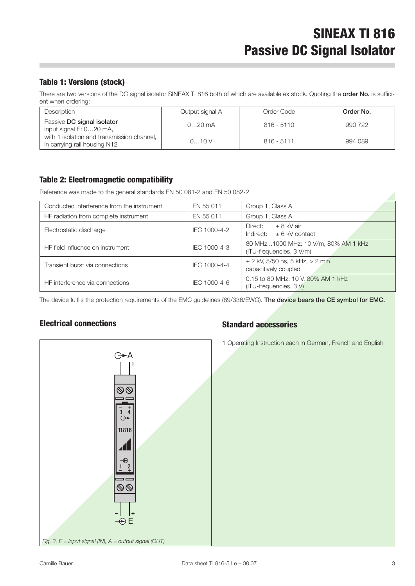#### Table 1: Versions (stock)

There are two versions of the DC signal isolator SINEAX TI 816 both of which are available ex stock. Quoting the order No. is sufficient when ordering:

| Description                                                                | Output signal A | Order Code   | Order No. |
|----------------------------------------------------------------------------|-----------------|--------------|-----------|
| Passive DC signal isolator<br>input signal E: 020 mA,                      | $020$ mA        | $816 - 5110$ | 990 722   |
| with 1 isolation and transmission channel,<br>in carrying rail housing N12 | 010V            | $816 - 5111$ | 994 089   |

#### Table 2: Electromagnetic compatibility

Reference was made to the general standards EN 50 081-2 and EN 50 082-2

| Conducted interference from the instrument | EN 55 011    | Group 1, Class A                                                   |
|--------------------------------------------|--------------|--------------------------------------------------------------------|
| HF radiation from complete instrument      | EN 55 011    | Group 1, Class A                                                   |
| Electrostatic discharge                    | IEC 1000-4-2 | $\pm$ 8 kV air<br>Direct:<br>$\pm$ 6 kV contact<br>Indirect:       |
| HF field influence on instrument           | IEC 1000-4-3 | 80 MHz1000 MHz: 10 V/m, 80% AM 1 kHz<br>(ITU-frequencies, 3 V/m)   |
| Transient burst via connections            | IEC 1000-4-4 | $\pm$ 2 kV, 5/50 ns, 5 kHz, > 2 min.<br>capacitively coupled       |
| HF interference via connections            | IEC 1000-4-6 | 0.15 to 80 MHz: 10 V, 80% AM 1 kHz<br>$(ITU-free queuencies, 3 V)$ |

The device fulfils the protection requirements of the EMC guidelines (89/336/EWG). The device bears the CE symbol for EMC.

#### Electrical connections



### Standard accessories

1 Operating Instruction each in German, French and English